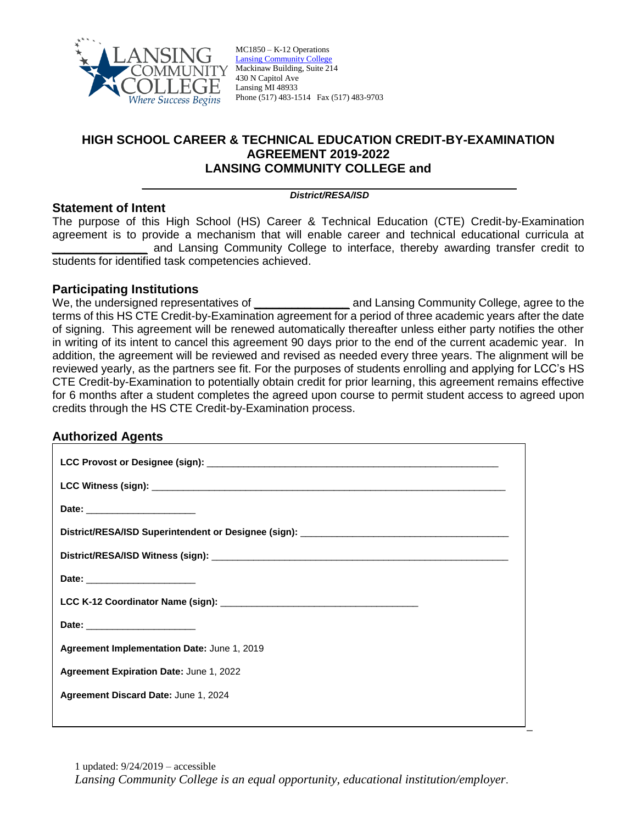

MC1850 – K-12 Operations [Lansing Community College](http://www.lcc.edu/) Mackinaw Building, Suite 214 430 N Capitol Ave Lansing MI 48933 Phone (517) 483-1514 Fax (517) 483-9703

## **HIGH SCHOOL CAREER & TECHNICAL EDUCATION CREDIT-BY-EXAMINATION AGREEMENT 2019-2022 LANSING COMMUNITY COLLEGE and**

#### \_\_\_\_\_\_\_\_\_\_\_\_\_\_\_\_\_\_\_\_\_\_\_\_\_\_\_\_\_\_\_\_\_\_\_\_\_\_\_\_\_\_\_\_\_\_\_\_\_\_\_\_\_\_ *District/RESA/ISD*

### **Statement of Intent**

The purpose of this High School (HS) Career & Technical Education (CTE) Credit-by-Examination agreement is to provide a mechanism that will enable career and technical educational curricula at *\_\_\_\_\_\_\_\_\_\_\_\_\_\_\_* and Lansing Community College to interface, thereby awarding transfer credit to students for identified task competencies achieved.

### **Participating Institutions**

We, the undersigned representatives of **\_\_\_\_\_\_\_\_\_\_\_\_\_\_\_** and Lansing Community College, agree to the terms of this HS CTE Credit-by-Examination agreement for a period of three academic years after the date of signing. This agreement will be renewed automatically thereafter unless either party notifies the other in writing of its intent to cancel this agreement 90 days prior to the end of the current academic year. In addition, the agreement will be reviewed and revised as needed every three years. The alignment will be reviewed yearly, as the partners see fit. For the purposes of students enrolling and applying for LCC's HS CTE Credit-by-Examination to potentially obtain credit for prior learning, this agreement remains effective for 6 months after a student completes the agreed upon course to permit student access to agreed upon credits through the HS CTE Credit-by-Examination process.

### **Authorized Agents**

| Date: ________________________              |
|---------------------------------------------|
|                                             |
|                                             |
| Date: _________________________             |
|                                             |
|                                             |
| Agreement Implementation Date: June 1, 2019 |
| Agreement Expiration Date: June 1, 2022     |
| Agreement Discard Date: June 1, 2024        |
|                                             |

\_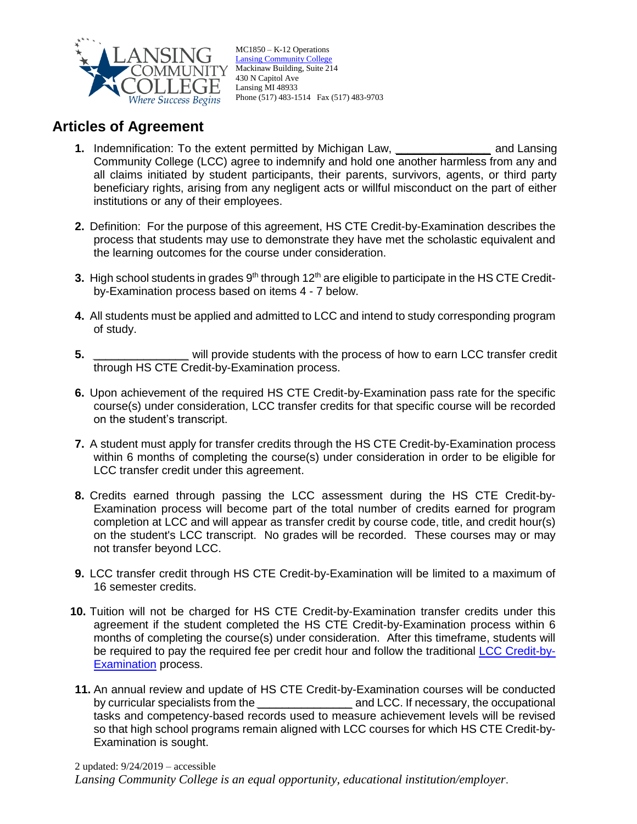

MC1850 – K-12 Operations [Lansing Community College](http://www.lcc.edu/) Mackinaw Building, Suite 214 430 N Capitol Ave Lansing MI 48933 Phone (517) 483-1514 Fax (517) 483-9703

# **Articles of Agreement**

- **1.** Indemnification: To the extent permitted by Michigan Law, *\_\_\_\_\_\_\_\_\_\_\_\_\_\_\_* and Lansing Community College (LCC) agree to indemnify and hold one another harmless from any and all claims initiated by student participants, their parents, survivors, agents, or third party beneficiary rights, arising from any negligent acts or willful misconduct on the part of either institutions or any of their employees.
- **2.** Definition: For the purpose of this agreement, HS CTE Credit-by-Examination describes the process that students may use to demonstrate they have met the scholastic equivalent and the learning outcomes for the course under consideration.
- **3.** High school students in grades 9<sup>th</sup> through 12<sup>th</sup> are eligible to participate in the HS CTE Creditby-Examination process based on items 4 - 7 below.
- **4.** All students must be applied and admitted to LCC and intend to study corresponding program of study.
- **5.** *\_\_\_\_\_\_\_\_\_\_\_\_\_\_\_* will provide students with the process of how to earn LCC transfer credit through HS CTE Credit-by-Examination process.
- **6.** Upon achievement of the required HS CTE Credit-by-Examination pass rate for the specific course(s) under consideration, LCC transfer credits for that specific course will be recorded on the student's transcript.
- **7.** A student must apply for transfer credits through the HS CTE Credit-by-Examination process within 6 months of completing the course(s) under consideration in order to be eligible for LCC transfer credit under this agreement.
- **8.** Credits earned through passing the LCC assessment during the HS CTE Credit-by-Examination process will become part of the total number of credits earned for program completion at LCC and will appear as transfer credit by course code, title, and credit hour(s) on the student's LCC transcript. No grades will be recorded. These courses may or may not transfer beyond LCC.
- **9.** LCC transfer credit through HS CTE Credit-by-Examination will be limited to a maximum of 16 semester credits.
- **10.** Tuition will not be charged for HS CTE Credit-by-Examination transfer credits under this agreement if the student completed the HS CTE Credit-by-Examination process within 6 months of completing the course(s) under consideration. After this timeframe, students will be required to pay the required fee per credit hour and follow the traditional [LCC Credit-by-](https://www.lcc.edu/academics/documents/pdf-policies/credits-by-examination-ro.012-app_10.04.19-rev_10.22.pdf)**[Examination](https://www.lcc.edu/academics/documents/pdf-policies/credits-by-examination-ro.012-app_10.04.19-rev_10.22.pdf)** process.
- **11.** An annual review and update of HS CTE Credit-by-Examination courses will be conducted by curricular specialists from the *\_\_\_\_\_\_\_\_\_\_\_\_\_\_\_* and LCC. If necessary, the occupational tasks and competency-based records used to measure achievement levels will be revised so that high school programs remain aligned with LCC courses for which HS CTE Credit-by-Examination is sought.